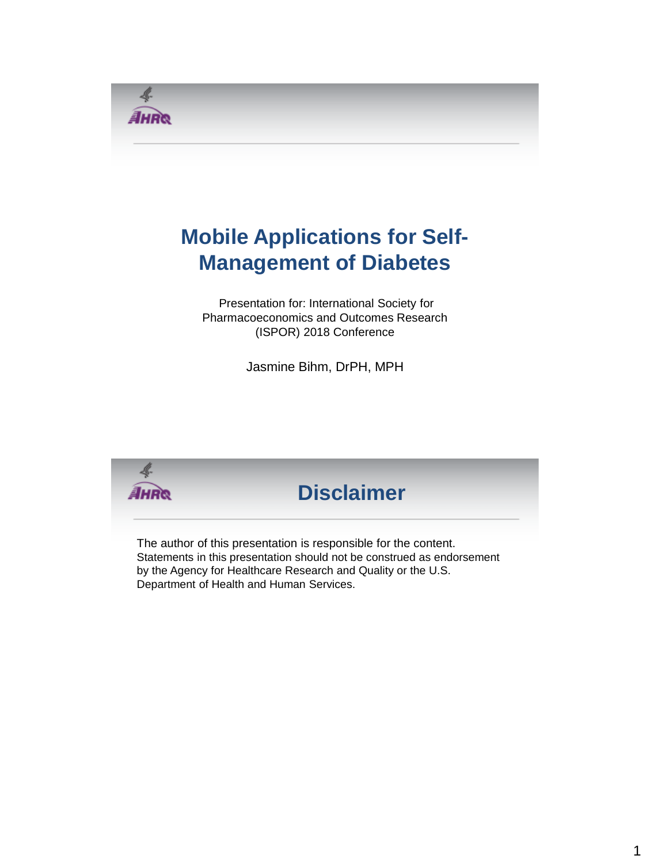

# **Mobile Applications for Self-Management of Diabetes**

Presentation for: International Society for Pharmacoeconomics and Outcomes Research (ISPOR) 2018 Conference

Jasmine Bihm, DrPH, MPH

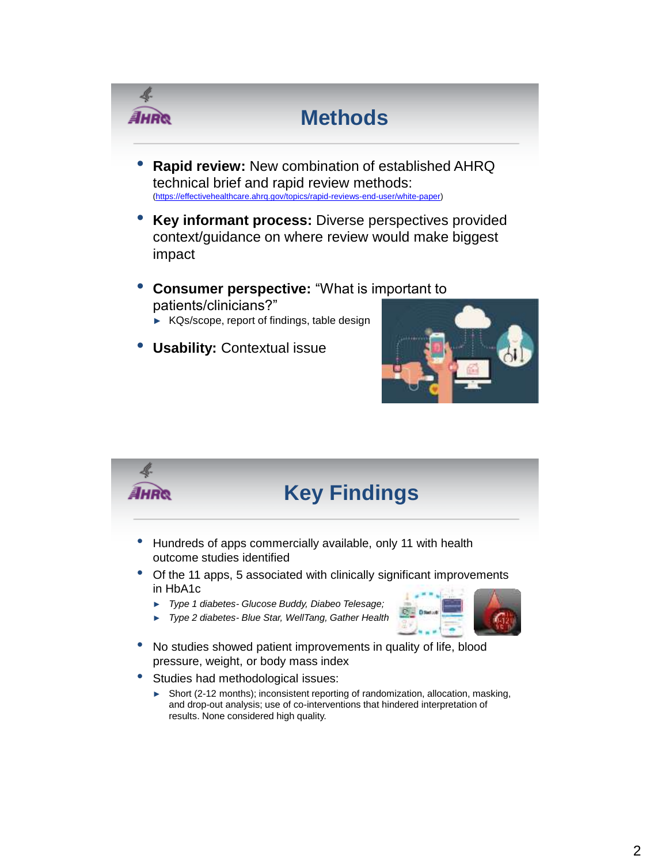

- ► KQs/scope, report of findings, table design
- **Usability:** Contextual issue



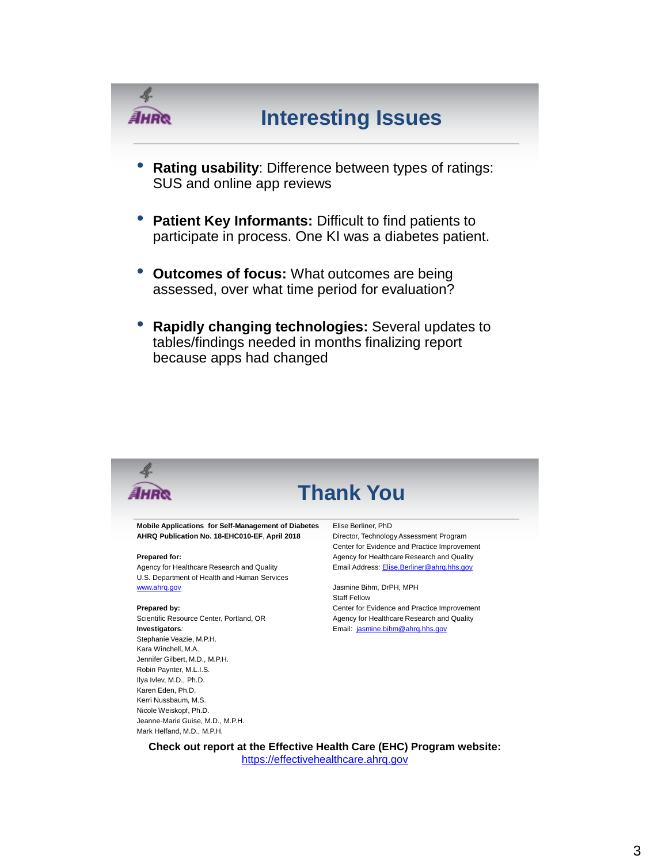

• **Rapidly changing technologies:** Several updates to tables/findings needed in months finalizing report because apps had changed

| <b>Thank You</b>                                    |                                              |
|-----------------------------------------------------|----------------------------------------------|
| Mobile Applications for Self-Management of Diabetes | Elise Berliner, PhD                          |
| AHRQ Publication No. 18-EHC010-EF, April 2018       | Director, Technology Assessment Program      |
|                                                     | Center for Evidence and Practice Improvement |
| Prepared for:                                       | Agency for Healthcare Research and Quality   |
| Agency for Healthcare Research and Quality          | Email Address: Elise.Berliner@ahrq.hhs.gov   |
| U.S. Department of Health and Human Services        |                                              |
| www.ahrg.gov                                        | Jasmine Bihm, DrPH, MPH                      |
|                                                     | <b>Staff Fellow</b>                          |
| Prepared by:                                        | Center for Evidence and Practice Improvement |
| Scientific Resource Center, Portland, OR            | Agency for Healthcare Research and Quality   |
| Investigators:                                      | Email: jasmine.bihm@ahrq.hhs.gov             |
| Stephanie Veazie, M.P.H.                            |                                              |
| Kara Winchell, M.A.                                 |                                              |
| Jennifer Gilbert, M.D., M.P.H.                      |                                              |
| Robin Paynter, M.L.I.S.                             |                                              |
| Ilya Ivlev, M.D., Ph.D.                             |                                              |
| Karen Eden, Ph.D.                                   |                                              |
| Kerri Nussbaum, M.S.                                |                                              |
| Nicole Weiskopf, Ph.D.                              |                                              |
| Jeanne-Marie Guise, M.D., M.P.H.                    |                                              |
| Mark Helfand, M.D., M.P.H.                          |                                              |
|                                                     |                                              |

**Check out report at the Effective Health Care (EHC) Program website:**  [https://effectivehealthcare.ahrq.gov](https://effectivehealthcare.ahrq.gov/)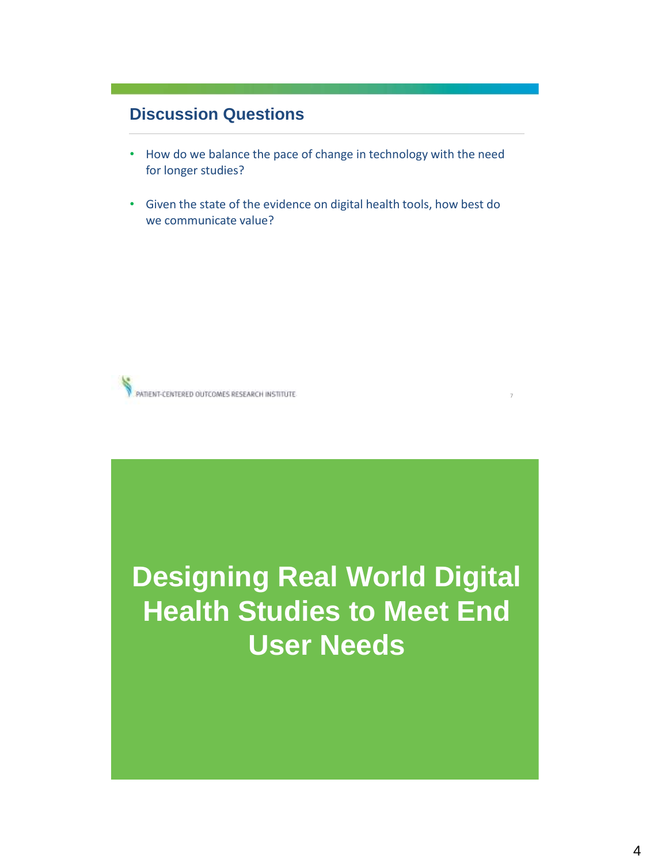### **Discussion Questions**

- How do we balance the pace of change in technology with the need for longer studies?
- Given the state of the evidence on digital health tools, how best do we communicate value?



# **Designing Real World Digital Health Studies to Meet End User Needs**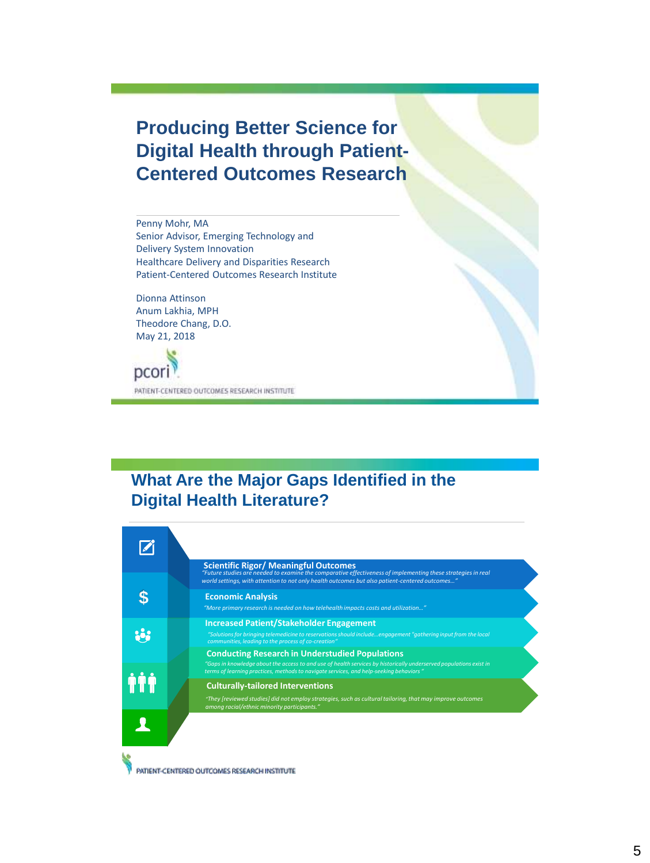# **Producing Better Science for Digital Health through Patient-Centered Outcomes Research**

Penny Mohr, MA Senior Advisor, Emerging Technology and Delivery System Innovation Healthcare Delivery and Disparities Research Patient-Centered Outcomes Research Institute

Dionna Attinson Anum Lakhia, MPH Theodore Chang, D.O. May 21, 2018

pcori PATIENT-CENTERED OUTCOMES RESEARCH INSTITUTE

# **What Are the Major Gaps Identified in the Digital Health Literature?**



PATIENT-CENTERED OUTCOMES RESEARCH INSTITUTE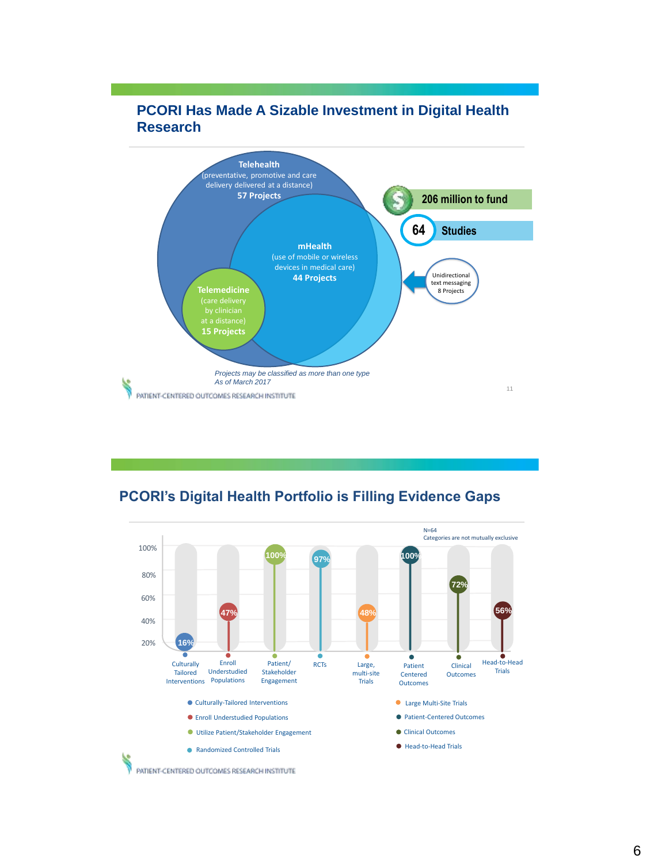

### **PCORI Has Made A Sizable Investment in Digital Health Research**

**PCORI's Digital Health Portfolio is Filling Evidence Gaps**

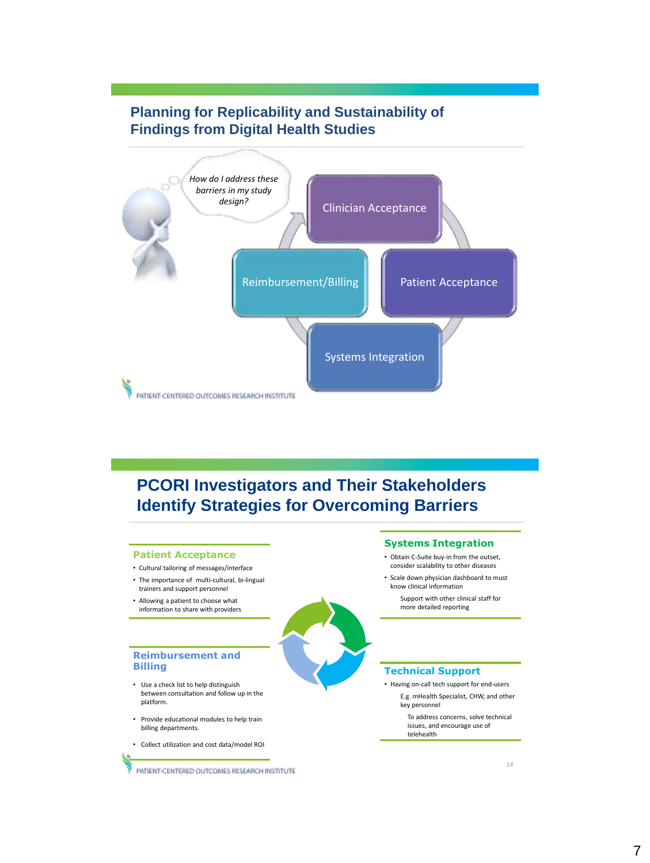### **Planning for Replicability and Sustainability of Findings from Digital Health Studies**



## **PCORI Investigators and Their Stakeholders Identify Strategies for Overcoming Barriers**

#### **Patient Acceptance**

- Cultural tailoring of messages/interface
- The importance of multi-cultural, bi-lingual trainers and support personnel
- Allowing a patient to choose what information to share with providers



#### **Systems Integration** • Obtain C-Suite buy-in from the outset, consider scalability to other diseases

- Scale down physician dashboard to must
- know clinical information Support with other clinical staff for

more detailed reporting

#### **Technical Support**

• Having on-call tech support for end-users E.g. mHealth Specialist, CHW, and other key personnel

> To address concerns, solve technical issues, and encourage use of telehealth

#### **Reimbursement and Billing** • Use a check list to help distinguish

- between consultation and follow up in the platform.
- Provide educational modules to help train billing departments.
- Collect utilization and cost data/model ROI

PATIENT-CENTERED OUTCOMES RESEARCH INSTITUTE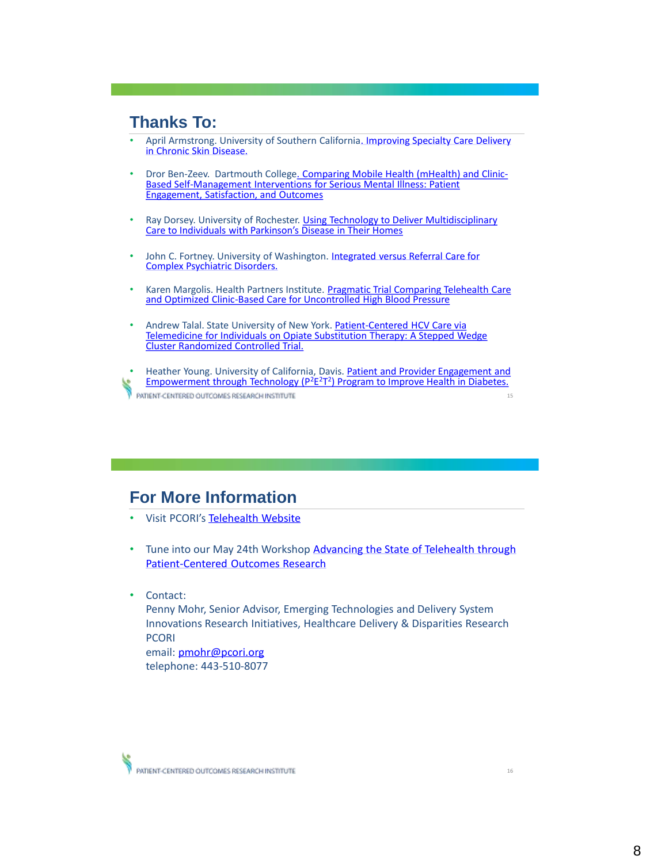### **Thanks To:**

- [April Armstrong. University of Southern California. Improving Specialty Care Delivery](https://www.pcori.org/research-results/2014/improving-specialty-care-delivery-chronic-skin-diseases) in Chronic Skin Disease.
- Dror [Ben-Zeev. Dartmouth College. Comparing Mobile Health \(mHealth\) and Clinic-](https://www.pcori.org/research-results/2014/comparing-mobile-health-and-clinic-based-self-management-interventions-serious)Based Self-Management Interventions for Serious Mental Illness: Patient **Engagement, Satisfaction, and Outcomes**
- [Ray Dorsey. University of Rochester. Using Technology to Deliver Multidisciplinary](https://www.pcori.org/research-results/2013/do-video-house-calls-specialist-help-get-care-people-parkinsons-disease)  Care to Individuals with Parkinson's Disease in Their Homes
- [John C. Fortney. University of Washington. Integrated versus Referral Care for](https://www.pcori.org/research-results/2015/comparing-two-approaches-provide-complex-mental-health-care-patients-rural) Complex Psychiatric Disorders.
- [Karen Margolis. Health Partners Institute. Pragmatic Trial Comparing Telehealth](https://www.pcori.org/research-results/2016/pragmatic-trial-comparing-telehealth-care-and-optimized-clinic-based-care) Care and Optimized Clinic-Based Care for Uncontrolled High Blood Pressure
- Andrew Talal. State University of New York. Patient-Centered HCV Care via [Telemedicine for Individuals on Opiate Substitution Therapy: A Stepped Wedge](https://www.pcori.org/research-results/2016/comparing-ways-provide-hepatitis-c-treatment-people-who-take-methadone) Cluster Randomized Controlled Trial.

• [Heather Young. University of California, Davis. Patient and Provider Engagement and](https://www.pcori.org/research-results/2014/patient-and-provider-engagement-and-empowerment-through-technology-p2e2t2) Empowerment through Technology (P<sup>2</sup>E<sup>2</sup>T<sup>2</sup>) Program to Improve Health in Diabetes. PATIENT-CENTERED OUTCOMES RESEARCH INSTITUTE 15

### **For More Information**

- Visit PCORI's [Telehealth Website](https://www.pcori.org/research-results/topics/telehealth)
- Tune into our May 24th Workshop Advancing the State of Telehealth through Patient-Centered Outcomes Research
- Contact:

Penny Mohr, Senior Advisor, Emerging Technologies and Delivery System Innovations Research Initiatives, Healthcare Delivery & Disparities Research PCORI

email: [pmohr@pcori.org](mailto:pmohr@pcori.org) telephone: 443-510-8077

PATIENT-CENTERED OUTCOMES RESEARCH INSTITUTE